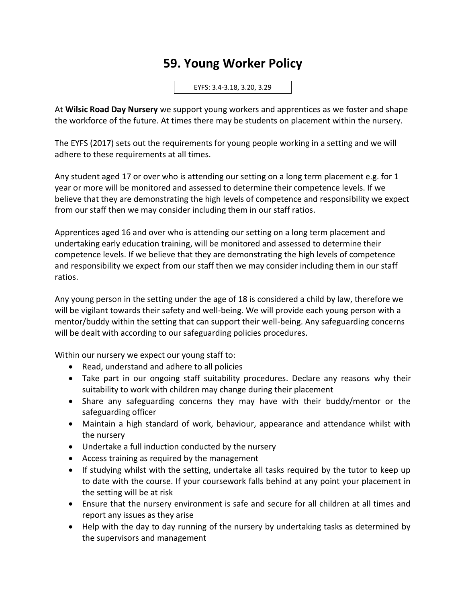## **59. Young Worker Policy**

EYFS: 3.4-3.18, 3.20, 3.29

At **Wilsic Road Day Nursery** we support young workers and apprentices as we foster and shape the workforce of the future. At times there may be students on placement within the nursery.

The EYFS (2017) sets out the requirements for young people working in a setting and we will adhere to these requirements at all times.

Any student aged 17 or over who is attending our setting on a long term placement e.g. for 1 year or more will be monitored and assessed to determine their competence levels. If we believe that they are demonstrating the high levels of competence and responsibility we expect from our staff then we may consider including them in our staff ratios.

Apprentices aged 16 and over who is attending our setting on a long term placement and undertaking early education training, will be monitored and assessed to determine their competence levels. If we believe that they are demonstrating the high levels of competence and responsibility we expect from our staff then we may consider including them in our staff ratios.

Any young person in the setting under the age of 18 is considered a child by law, therefore we will be vigilant towards their safety and well-being. We will provide each young person with a mentor/buddy within the setting that can support their well-being. Any safeguarding concerns will be dealt with according to our safeguarding policies procedures.

Within our nursery we expect our young staff to:

- Read, understand and adhere to all policies
- Take part in our ongoing staff suitability procedures. Declare any reasons why their suitability to work with children may change during their placement
- Share any safeguarding concerns they may have with their buddy/mentor or the safeguarding officer
- Maintain a high standard of work, behaviour, appearance and attendance whilst with the nursery
- Undertake a full induction conducted by the nursery
- Access training as required by the management
- If studying whilst with the setting, undertake all tasks required by the tutor to keep up to date with the course. If your coursework falls behind at any point your placement in the setting will be at risk
- Ensure that the nursery environment is safe and secure for all children at all times and report any issues as they arise
- Help with the day to day running of the nursery by undertaking tasks as determined by the supervisors and management